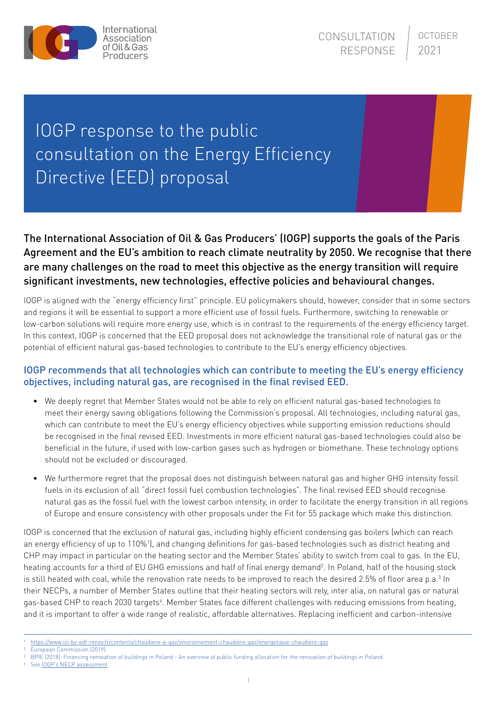

## IOGP response to the public consultation on the Energy Efficiency Directive (EED) proposal

## The International Association of Oil & Gas Producers' (IOGP) supports the goals of the Paris Agreement and the EU's ambition to reach climate neutrality by 2050. We recognise that there are many challenges on the road to meet this objective as the energy transition will require significant investments, new technologies, effective policies and behavioural changes.

IOGP is aligned with the "energy efficiency first" principle. EU policymakers should, however, consider that in some sectors and regions it will be essential to support a more efficient use of fossil fuels. Furthermore, switching to renewable or low-carbon solutions will require more energy use, which is in contrast to the requirements of the energy efficiency target. In this context, IOGP is concerned that the EED proposal does not acknowledge the transitional role of natural gas or the potential of efficient natural gas-based technologies to contribute to the EU's energy efficiency objectives.

## IOGP recommends that all technologies which can contribute to meeting the EU's energy efficiency objectives, including natural gas, are recognised in the final revised EED.

- We deeply regret that Member States would not be able to rely on efficient natural gas-based technologies to meet their energy saving obligations following the Commission's proposal. All technologies, including natural gas, which can contribute to meet the EU's energy efficiency objectives while supporting emission reductions should be recognised in the final revised EED. Investments in more efficient natural gas-based technologies could also be beneficial in the future, if used with low-carbon gases such as hydrogen or biomethane. These technology options should not be excluded or discouraged.
- We furthermore regret that the proposal does not distinguish between natural gas and higher GHG intensity fossil fuels in its exclusion of all "direct fossil fuel combustion technologies". The final revised EED should recognise natural gas as the fossil fuel with the lowest carbon intensity, in order to facilitate the energy transition in all regions of Europe and ensure consistency with other proposals under the Fit for 55 package which make this distinction.

IOGP is concerned that the exclusion of natural gas, including highly efficient condensing gas boilers (which can reach an energy efficiency of up to 110%!), and changing definitions for gas-based technologies such as district heating and CHP may impact in particular on the heating sector and the Member States' ability to switch from coal to gas. In the EU, heating accounts for a third of EU GHG emissions and half of final energy demand<sup>2</sup>. In Poland, half of the housing stock is still heated with coal, while the renovation rate needs to be improved to reach the desired 2.5% of floor area p.a.<sup>3</sup> In their NECPs, a number of Member States outline that their heating sectors will rely, inter alia, on natural gas or natural gas-based CHP to reach 2030 targets<sup>4</sup>. Member States face different challenges with reducing emissions from heating, and it is important to offer a wide range of realistic, affordable alternatives. Replacing inefficient and carbon-intensive

2 European Commission (2019).

See **IOGP's NECP** assessment.

<sup>1</sup> <https://www.izi-by-edf-renov.fr/contents/chaudiere-a-gaz/environnement-chaudiere-gaz/energetique-chaudiere-gaz>

<sup>3</sup> BPIE (2018): Financing renovation of buildings in Poland - An overview of public funding allocation for the renovation of buildings in Poland.